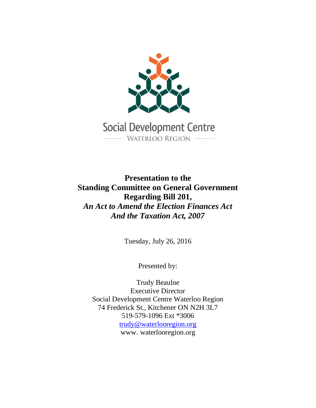

**Presentation to the Standing Committee on General Government Regarding Bill 201,** *An Act to Amend the Election Finances Act And the Taxation Act, 2007*

Tuesday, July 26, 2016

Presented by:

Trudy Beaulne Executive Director Social Development Centre Waterloo Region 74 Frederick St., Kitchener ON N2H 3L7 519-579-1096 Ext \*3006 [trudy@waterlooregion.org](mailto:trudy@waterlooregion.org) www. waterlooregion.org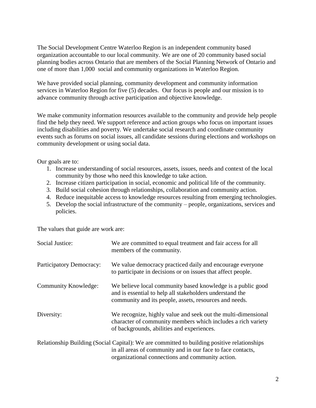The Social Development Centre Waterloo Region is an independent community based organization accountable to our local community. We are one of 20 community based social planning bodies across Ontario that are members of the Social Planning Network of Ontario and one of more than 1,000 social and community organizations in Waterloo Region.

We have provided social planning, community development and community information services in Waterloo Region for five (5) decades. Our focus is people and our mission is to advance community through active participation and objective knowledge.

We make community information resources available to the community and provide help people find the help they need. We support reference and action groups who focus on important issues including disabilities and poverty. We undertake social research and coordinate community events such as forums on social issues, all candidate sessions during elections and workshops on community development or using social data.

Our goals are to:

- 1. Increase understanding of social resources, assets, issues, needs and context of the local community by those who need this knowledge to take action.
- 2. Increase citizen participation in social, economic and political life of the community.
- 3. Build social cohesion through relationships, collaboration and community action.
- 4. Reduce inequitable access to knowledge resources resulting from emerging technologies.
- 5. Develop the social infrastructure of the community people, organizations, services and policies.

The values that guide are work are:

| <b>Social Justice:</b>   | We are committed to equal treatment and fair access for all<br>members of the community.                                                                                                                       |
|--------------------------|----------------------------------------------------------------------------------------------------------------------------------------------------------------------------------------------------------------|
| Participatory Democracy: | We value democracy practiced daily and encourage everyone<br>to participate in decisions or on issues that affect people.                                                                                      |
| Community Knowledge:     | We believe local community based knowledge is a public good<br>and is essential to help all stakeholders understand the<br>community and its people, assets, resources and needs.                              |
| Diversity:               | We recognize, highly value and seek out the multi-dimensional<br>character of community members which includes a rich variety<br>of backgrounds, abilities and experiences.                                    |
|                          | Relationship Building (Social Capital): We are committed to building positive relationships<br>in all areas of community and in our face to face contacts,<br>organizational connections and community action. |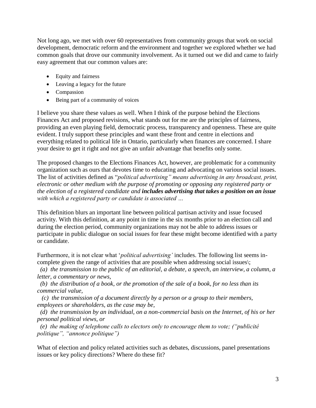Not long ago, we met with over 60 representatives from community groups that work on social development, democratic reform and the environment and together we explored whether we had common goals that drove our community involvement. As it turned out we did and came to fairly easy agreement that our common values are:

- Equity and fairness
- Leaving a legacy for the future
- Compassion
- Being part of a community of voices

I believe you share these values as well. When I think of the purpose behind the Elections Finances Act and proposed revisions, what stands out for me are the principles of fairness, providing an even playing field, democratic process, transparency and openness. These are quite evident. I truly support these principles and want these front and centre in elections and everything related to political life in Ontario, particularly when finances are concerned. I share your desire to get it right and not give an unfair advantage that benefits only some.

The proposed changes to the Elections Finances Act, however, are problematic for a community organization such as ours that devotes time to educating and advocating on various social issues. The list of activities defined as "*political advertising" means advertising in any broadcast, print, electronic or other medium with the purpose of promoting or opposing any registered party or the election of a registered candidate and includes advertising that takes a position on an issue with which a registered party or candidate is associated …*

This definition blurs an important line between political partisan activity and issue focused activity. With this definition, at any point in time in the six months prior to an election call and during the election period, community organizations may not be able to address issues or participate in public dialogue on social issues for fear these might become identified with a party or candidate.

Furthermore, it is not clear what '*political advertising'* includes. The following list seems incomplete given the range of activities that are possible when addressing social issues\;

*(a) the transmission to the public of an editorial, a debate, a speech, an interview, a column, a letter, a commentary or news,*

*(b) the distribution of a book, or the promotion of the sale of a book, for no less than its commercial value,*

 *(c) the transmission of a document directly by a person or a group to their members, employees or shareholders, as the case may be,*

*(d) the transmission by an individual, on a non-commercial basis on the Internet, of his or her personal political views, or*

*(e) the making of telephone calls to electors only to encourage them to vote; ("publicité politique", "annonce politique")*

What of election and policy related activities such as debates, discussions, panel presentations issues or key policy directions? Where do these fit?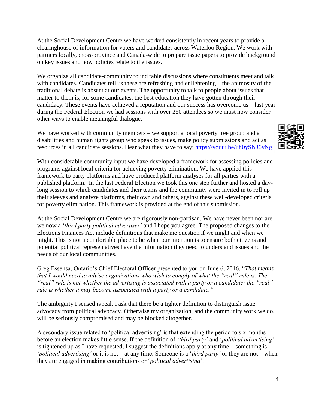At the Social Development Centre we have worked consistently in recent years to provide a clearinghouse of information for voters and candidates across Waterloo Region. We work with partners locally, cross-province and Canada-wide to prepare issue papers to provide background on key issues and how policies relate to the issues.

We organize all candidate-community round table discussions where constituents meet and talk with candidates. Candidates tell us these are refreshing and enlightening – the animosity of the traditional debate is absent at our events. The opportunity to talk to people about issues that matter to them is, for some candidates, the best education they have gotten through their candidacy. These events have achieved a reputation and our success has overcome us – last year during the Federal Election we had sessions with over 250 attendees so we must now consider other ways to enable meaningful dialogue.

We have worked with community members – we support a local poverty free group and a disabilities and human rights group who speak to issues, make policy submissions and act as resources in all candidate sessions. Hear what they have to say:<https://youtu.be/uh0ySNJ6yNg>



With considerable community input we have developed a framework for assessing policies and programs against local criteria for achieving poverty elimination. We have applied this framework to party platforms and have produced platform analyses for all parties with a published platform. In the last Federal Election we took this one step further and hosted a daylong session to which candidates and their teams and the community were invited in to roll up their sleeves and analyze platforms, their own and others, against these well-developed criteria for poverty elimination. This framework is provided at the end of this submission.

At the Social Development Centre we are rigorously non-partisan. We have never been nor are we now a '*third party political advertiser'* and I hope you agree. The proposed changes to the Elections Finances Act include definitions that make me question if we might and when we might. This is not a comfortable place to be when our intention is to ensure both citizens and potential political representatives have the information they need to understand issues and the needs of our local communities.

Greg Essensa, Ontario's Chief Electoral Officer presented to you on June 6, 2016. "*That means that I would need to advise organizations who wish to comply of what the "real" rule is. The "real" rule is not whether the advertising is associated with a party or a candidate; the "real" rule is whether it may become associated with a party or a candidate."*

The ambiguity I sensed is real. I ask that there be a tighter definition to distinguish issue advocacy from political advocacy. Otherwise my organization, and the community work we do, will be seriously compromised and may be blocked altogether.

A secondary issue related to 'political advertising' is that extending the period to six months before an election makes little sense. If the definition of '*third party'* and '*political advertising'* is tightened up as I have requested, I suggest the definitions apply at any time – something is '*political advertising'* or it is not – at any time. Someone is a '*third party'* or they are not – when they are engaged in making contributions or '*political advertising*'.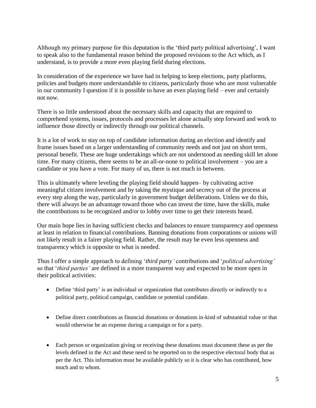Although my primary purpose for this deputation is the 'third party political advertising', I want to speak also to the fundamental reason behind the proposed revisions to the Act which, as I understand, is to provide a more even playing field during elections.

In consideration of the experience we have had in helping to keep elections, party platforms, policies and budgets more understandable to citizens, particularly those who are most vulnerable in our community I question if it is possible to have an even playing field – ever and certainly not now.

There is so little understood about the necessary skills and capacity that are required to comprehend systems, issues, protocols and processes let alone actually step forward and work to influence those directly or indirectly through our political channels.

It is a lot of work to stay on top of candidate information during an election and identify and frame issues based on a larger understanding of community needs and not just on short term, personal benefit. These are huge undertakings which are not understood as needing skill let alone time. For many citizens, there seems to be an all-or-none to political involvement – you are a candidate or you have a vote. For many of us, there is not much in between.

This is ultimately where leveling the playing field should happen– by cultivating active meaningful citizen involvement and by taking the mystique and secrecy out of the process at every step along the way, particularly in government budget deliberations. Unless we do this, there will always be an advantage toward those who can invest the time, have the skills, make the contributions to be recognized and/or to lobby over time to get their interests heard.

Our main hope lies in having sufficient checks and balances to ensure transparency and openness at least in relation to financial contributions. Banning donations from corporations or unions will not likely result in a fairer playing field. Rather, the result may be even less openness and transparency which is opposite to what is needed.

Thus I offer a simple approach to defining '*third party'* contributions and '*political advertising'* so that '*third parties'* are defined in a more transparent way and expected to be more open in their political activities:

- Define 'third party' is an individual or organization that contributes directly or indirectly to a political party, political campaign, candidate or potential candidate.
- Define direct contributions as financial donations or donations in-kind of substantial value or that would otherwise be an expense during a campaign or for a party.
- Each person or organization giving or receiving these donations must document these as per the levels defined in the Act and these need to be reported on to the respective electoral body that as per the Act. This information must be available publicly so it is clear who has contributed, how much and to whom.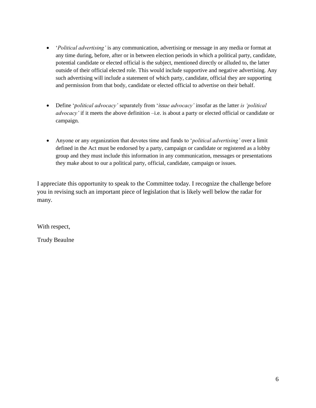- '*Political advertising'* is any communication, advertising or message in any media or format at any time during, before, after or in between election periods in which a political party, candidate, potential candidate or elected official is the subject, mentioned directly or alluded to, the latter outside of their official elected role. This would include supportive and negative advertising. Any such advertising will include a statement of which party, candidate, official they are supporting and permission from that body, candidate or elected official to advertise on their behalf.
- Define '*political advocacy'* separately from '*issue advocacy'* insofar as the latter *is 'political advocacy'* if it meets the above definition –i.e. is about a party or elected official or candidate or campaign.
- Anyone or any organization that devotes time and funds to '*political advertising'* over a limit defined in the Act must be endorsed by a party, campaign or candidate or registered as a lobby group and they must include this information in any communication, messages or presentations they make about to our a political party, official, candidate, campaign or issues.

I appreciate this opportunity to speak to the Committee today. I recognize the challenge before you in revising such an important piece of legislation that is likely well below the radar for many.

With respect,

Trudy Beaulne